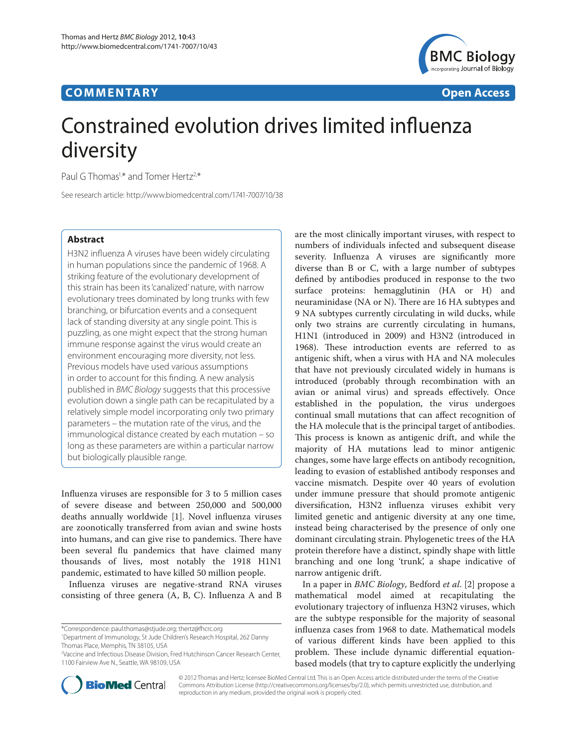## **CO M M E N TA R Y Open Access**



# Constrained evolution drives limited influenza diversity

Paul G Thomas<sup>1,\*</sup> and Tomer Hertz<sup>2,\*</sup>

See research article: http://www.biomedcentral.com/1741-7007/10/38

## **Abstract**

H3N2 influenza A viruses have been widely circulating in human populations since the pandemic of 1968. A striking feature of the evolutionary development of this strain has been its 'canalized' nature, with narrow evolutionary trees dominated by long trunks with few branching, or bifurcation events and a consequent lack of standing diversity at any single point. This is puzzling, as one might expect that the strong human immune response against the virus would create an environment encouraging more diversity, not less. Previous models have used various assumptions in order to account for this finding. A new analysis published in *BMC Biology* suggests that this processive evolution down a single path can be recapitulated by a relatively simple model incorporating only two primary parameters – the mutation rate of the virus, and the immunological distance created by each mutation – so long as these parameters are within a particular narrow but biologically plausible range.

Influenza viruses are responsible for 3 to 5 million cases of severe disease and between 250,000 and 500,000 deaths annually worldwide [1]. Novel influenza viruses are zoonotically transferred from avian and swine hosts into humans, and can give rise to pandemics. There have been several flu pandemics that have claimed many thousands of lives, most notably the 1918 H1N1 pandemic, estimated to have killed 50 million people.

Influenza viruses are negative-strand RNA viruses consisting of three genera (A, B, C). Influenza A and B

1 Department of Immunology, St Jude Children's Research Hospital, 262 Danny Thomas Place, Memphis, TN 38105, USA

are the most clinically important viruses, with respect to numbers of individuals infected and subsequent disease severity. Influenza A viruses are significantly more diverse than B or C, with a large number of subtypes defined by antibodies produced in response to the two surface proteins: hemagglutinin (HA or H) and neuraminidase (NA or N). There are 16 HA subtypes and 9 NA subtypes currently circulating in wild ducks, while only two strains are currently circulating in humans, H1N1 (introduced in 2009) and H3N2 (introduced in 1968). These introduction events are referred to as antigenic shift, when a virus with HA and NA molecules that have not previously circulated widely in humans is introduced (probably through recombination with an avian or animal virus) and spreads effectively. Once established in the population, the virus undergoes continual small mutations that can affect recognition of the HA molecule that is the principal target of antibodies. This process is known as antigenic drift, and while the majority of HA mutations lead to minor antigenic changes, some have large effects on antibody recognition, leading to evasion of established antibody responses and vaccine mismatch. Despite over 40 years of evolution under immune pressure that should promote antigenic diversification, H3N2 influenza viruses exhibit very limited genetic and antigenic diversity at any one time, instead being characterised by the presence of only one dominant circulating strain. Phylogenetic trees of the HA protein therefore have a distinct, spindly shape with little branching and one long 'trunk', a shape indicative of narrow antigenic drift.

In a paper in *BMC Biology*, Bedford *et al*. [2] propose a mathematical model aimed at recapitulating the evolutionary trajectory of influenza H3N2 viruses, which are the subtype responsible for the majority of seasonal influenza cases from 1968 to date. Mathematical models of various different kinds have been applied to this problem. These include dynamic differential equationbased models (that try to capture explicitly the underlying



© 2012 Thomas and Hertz; licensee BioMed Central Ltd. This is an Open Access article distributed under the terms of the Creative Commons Attribution License (http://creativecommons.org/licenses/by/2.0), which permits unrestricted use, distribution, and reproduction in any medium, provided the original work is properly cited.

<sup>\*</sup>Correspondence: paul.thomas@stjude.org; thertz@fhcrc.org

<sup>2</sup> Vaccine and Infectious Disease Division, Fred Hutchinson Cancer Research Center, 1100 Fairview Ave N., Seattle, WA 98109, USA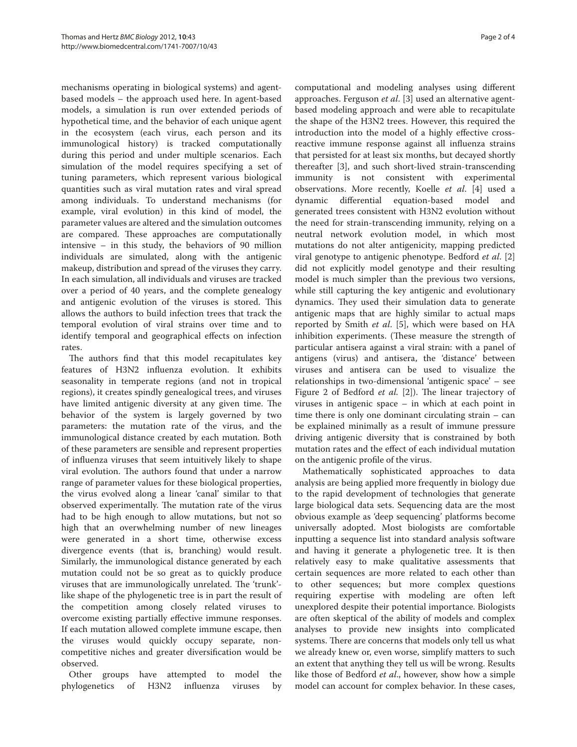mechanisms operating in biological systems) and agentbased models – the approach used here. In agent-based models, a simulation is run over extended periods of hypothetical time, and the behavior of each unique agent in the ecosystem (each virus, each person and its immunological history) is tracked computationally during this period and under multiple scenarios. Each simulation of the model requires specifying a set of tuning parameters, which represent various biological quantities such as viral mutation rates and viral spread among individuals. To understand mechanisms (for example, viral evolution) in this kind of model, the parameter values are altered and the simulation outcomes are compared. These approaches are computationally intensive – in this study, the behaviors of 90 million individuals are simulated, along with the antigenic makeup, distribution and spread of the viruses they carry. In each simulation, all individuals and viruses are tracked over a period of 40 years, and the complete genealogy and antigenic evolution of the viruses is stored. This allows the authors to build infection trees that track the temporal evolution of viral strains over time and to identify temporal and geographical effects on infection rates.

The authors find that this model recapitulates key features of H3N2 influenza evolution. It exhibits seasonality in temperate regions (and not in tropical regions), it creates spindly genealogical trees, and viruses have limited antigenic diversity at any given time. The behavior of the system is largely governed by two parameters: the mutation rate of the virus, and the immunological distance created by each mutation. Both of these parameters are sensible and represent properties of influenza viruses that seem intuitively likely to shape viral evolution. The authors found that under a narrow range of parameter values for these biological properties, the virus evolved along a linear 'canal' similar to that observed experimentally. The mutation rate of the virus had to be high enough to allow mutations, but not so high that an overwhelming number of new lineages were generated in a short time, otherwise excess divergence events (that is, branching) would result. Similarly, the immunological distance generated by each mutation could not be so great as to quickly produce viruses that are immunologically unrelated. The 'trunk' like shape of the phylogenetic tree is in part the result of the competition among closely related viruses to overcome existing partially effective immune responses. If each mutation allowed complete immune escape, then the viruses would quickly occupy separate, noncompetitive niches and greater diversification would be observed.

Other groups have attempted to model the phylogenetics of H3N2 influenza viruses by computational and modeling analyses using different approaches. Ferguson *et al*. [3] used an alternative agentbased modeling approach and were able to recapitulate the shape of the H3N2 trees. However, this required the introduction into the model of a highly effective crossreactive immune response against all influenza strains that persisted for at least six months, but decayed shortly thereafter [3], and such short-lived strain-transcending immunity is not consistent with experimental observations. More recently, Koelle *et al*. [4] used a dynamic differential equation-based model and generated trees consistent with H3N2 evolution without the need for strain-transcending immunity, relying on a neutral network evolution model, in which most mutations do not alter antigenicity, mapping predicted viral genotype to antigenic phenotype. Bedford *et al*. [2] did not explicitly model genotype and their resulting model is much simpler than the previous two versions, while still capturing the key antigenic and evolutionary dynamics. They used their simulation data to generate antigenic maps that are highly similar to actual maps reported by Smith *et al*. [5], which were based on HA inhibition experiments. (These measure the strength of particular antisera against a viral strain: with a panel of antigens (virus) and antisera, the 'distance' between viruses and antisera can be used to visualize the relationships in two-dimensional 'antigenic space' – see Figure 2 of Bedford *et al.* [2]). The linear trajectory of viruses in antigenic space – in which at each point in time there is only one dominant circulating strain – can be explained minimally as a result of immune pressure driving antigenic diversity that is constrained by both mutation rates and the effect of each individual mutation on the antigenic profile of the virus.

Mathematically sophisticated approaches to data analysis are being applied more frequently in biology due to the rapid development of technologies that generate large biological data sets. Sequencing data are the most obvious example as 'deep sequencing' platforms become universally adopted. Most biologists are comfortable inputting a sequence list into standard analysis software and having it generate a phylogenetic tree. It is then relatively easy to make qualitative assessments that certain sequences are more related to each other than to other sequences; but more complex questions requiring expertise with modeling are often left unexplored despite their potential importance. Biologists are often skeptical of the ability of models and complex analyses to provide new insights into complicated systems. There are concerns that models only tell us what we already knew or, even worse, simplify matters to such an extent that anything they tell us will be wrong. Results like those of Bedford *et al*., however, show how a simple model can account for complex behavior. In these cases,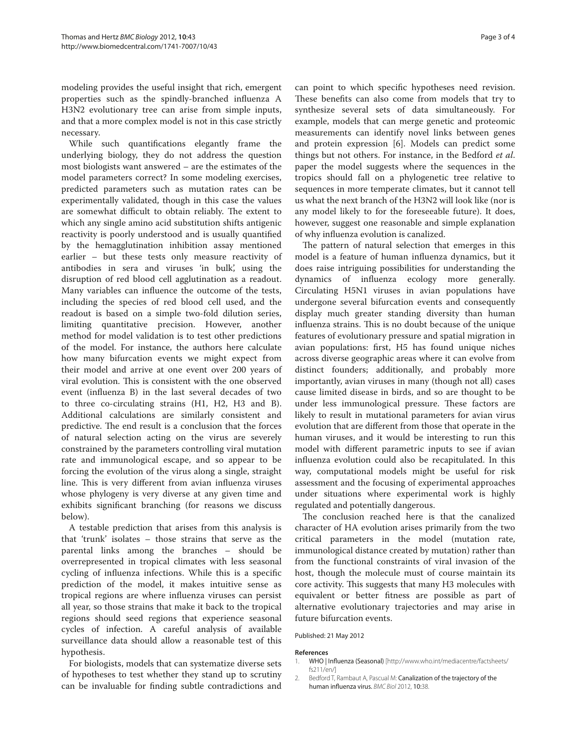modeling provides the useful insight that rich, emergent properties such as the spindly-branched influenza A H3N2 evolutionary tree can arise from simple inputs, and that a more complex model is not in this case strictly necessary.

While such quantifications elegantly frame the underlying biology, they do not address the question most biologists want answered – are the estimates of the model parameters correct? In some modeling exercises, predicted parameters such as mutation rates can be experimentally validated, though in this case the values are somewhat difficult to obtain reliably. The extent to which any single amino acid substitution shifts antigenic reactivity is poorly understood and is usually quantified by the hemagglutination inhibition assay mentioned earlier – but these tests only measure reactivity of antibodies in sera and viruses 'in bulk', using the disruption of red blood cell agglutination as a readout. Many variables can influence the outcome of the tests, including the species of red blood cell used, and the readout is based on a simple two-fold dilution series, limiting quantitative precision. However, another method for model validation is to test other predictions of the model. For instance, the authors here calculate how many bifurcation events we might expect from their model and arrive at one event over 200 years of viral evolution. This is consistent with the one observed event (influenza B) in the last several decades of two to three co-circulating strains (H1, H2, H3 and B). Additional calculations are similarly consistent and predictive. The end result is a conclusion that the forces of natural selection acting on the virus are severely constrained by the parameters controlling viral mutation rate and immunological escape, and so appear to be forcing the evolution of the virus along a single, straight line. This is very different from avian influenza viruses whose phylogeny is very diverse at any given time and exhibits significant branching (for reasons we discuss below).

A testable prediction that arises from this analysis is that 'trunk' isolates – those strains that serve as the parental links among the branches – should be overrepresented in tropical climates with less seasonal cycling of influenza infections. While this is a specific prediction of the model, it makes intuitive sense as tropical regions are where influenza viruses can persist all year, so those strains that make it back to the tropical regions should seed regions that experience seasonal cycles of infection. A careful analysis of available surveillance data should allow a reasonable test of this hypothesis.

For biologists, models that can systematize diverse sets of hypotheses to test whether they stand up to scrutiny can be invaluable for finding subtle contradictions and

can point to which specific hypotheses need revision. These benefits can also come from models that try to synthesize several sets of data simultaneously. For example, models that can merge genetic and proteomic measurements can identify novel links between genes and protein expression [6]. Models can predict some things but not others. For instance, in the Bedford *et al*. paper the model suggests where the sequences in the tropics should fall on a phylogenetic tree relative to sequences in more temperate climates, but it cannot tell us what the next branch of the H3N2 will look like (nor is any model likely to for the foreseeable future). It does, however, suggest one reasonable and simple explanation of why influenza evolution is canalized.

The pattern of natural selection that emerges in this model is a feature of human influenza dynamics, but it does raise intriguing possibilities for understanding the dynamics of influenza ecology more generally. Circulating H5N1 viruses in avian populations have undergone several bifurcation events and consequently display much greater standing diversity than human influenza strains. This is no doubt because of the unique features of evolutionary pressure and spatial migration in avian populations: first, H5 has found unique niches across diverse geographic areas where it can evolve from distinct founders; additionally, and probably more importantly, avian viruses in many (though not all) cases cause limited disease in birds, and so are thought to be under less immunological pressure. These factors are likely to result in mutational parameters for avian virus evolution that are different from those that operate in the human viruses, and it would be interesting to run this model with different parametric inputs to see if avian influenza evolution could also be recapitulated. In this way, computational models might be useful for risk assessment and the focusing of experimental approaches under situations where experimental work is highly regulated and potentially dangerous.

The conclusion reached here is that the canalized character of HA evolution arises primarily from the two critical parameters in the model (mutation rate, immunological distance created by mutation) rather than from the functional constraints of viral invasion of the host, though the molecule must of course maintain its core activity. This suggests that many H3 molecules with equivalent or better fitness are possible as part of alternative evolutionary trajectories and may arise in future bifurcation events.

Published: 21 May 2012

### **References**

- WHO | Influenza (Seasonal) [http://www.who.int/mediacentre/factsheets/ fs211/en/]
- 2. Bedford T, Rambaut A, Pascual M: Canalization of the trajectory of the human influenza virus. *BMC Biol* 2012, 10:38.